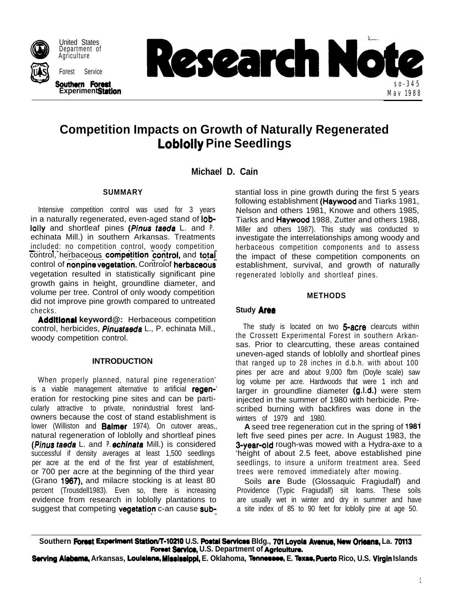

Department of Agriculture Forest Service



# **Competition Impacts on Growth of Naturally Regenerated Loblolly Pine Seedlings**

**Michael D. Cain**

## **SUMMARY**

Intensive competition control was used for 3 years in a naturally regenerated, even-aged stand of loblolly and shortleaf pines (Pinus taeda L. and *P.* echinata Mill.) in southern Arkansas. Treatments included: no competition control, woody competition control, herbaceous competition control, and total control of nonpine vegetation. Controiof herbaceous vegetation resulted in statistically significant pine growth gains in height, groundline diameter, and volume per tree. Control of only woody competition did not improve pine growth compared to untreated checks.

**Addltlonal keyword@:** Herbaceous competition control, herbicides, *Pinustaeda* L., P. echinata Mill., woody competition control.

## **INTRODUCTION**

When properly planned, natural pine regeneration' is a viable management alternative to artificial regeneration for restocking pine sites and can be particularly attractive to private, nonindustrial forest landowners because the cost of stand establishment is lower (Williston and **Balmer** 1974). On cutover areas,, natural regeneration of loblolly and shortleaf pines **(Pinus taeda** L. and *P.* **echinata** Mill.) is considered successful if density averages at least 1,500 seedlings per acre at the end of the first year of establishment, or 700 per acre at the beginning of the third year (Grano 1987), and milacre stocking is at least 80 percent (Trousdell1983). Even so, there is increasing evidence from research in loblolly plantations to suggest that competing vegetation c-an cause substantial loss in pine growth during the first 5 years following establishment (Haywood and Tiarks 1981, Nelson and others 1981, Knowe and others 1985, Tiarks and Haywood 1988, Zutter and others 1988, Miller and others 1987). This study was conducted to investigate the interrelationships among woody and herbaceous competition components and to assess the impact of these competition components on establishment, survival, and growth of naturally regenerated loblolly and shortleaf pines.

## **METHODS**

## **Study Area**

The study is located on two 5-acre clearcuts within the Crossett Experimental Forest in southern Arkansas. Prior to clearcutting, these areas contained uneven-aged stands of loblolly and shortleaf pines that ranged up to 28 inches in d.b.h. with about 100 pines per acre and about 9,000 fbm (Doyle scale) saw log volume per acre. Hardwoods that were 1 inch and larger in groundline diameter (g.l.d.) were stem injected in the summer of 1980 with herbicide. Prescribed burning with backfires was done in the winters of 1979 and 1980.

**A** seed tree regeneration cut in the spring of 1981 left five seed pines per acre. In August 1983, the **3-year-old** rough-was mowed with a Hydra-axe to a 'height of about 2.5 feet, above established pine seedlings, to insure a uniform treatment area. Seed trees were removed immediately after mowing.

Soils **are** Bude (Glossaquic Fragiudalf) and Providence (Typic Fragiudalf) silt loams. These soils are usually wet in winter and dry in summer and have a site index of 85 to 90 feet for loblolly pine at age 50.

**Southern Forest Expwiment StatloM402lO U.S. Postal SewIce Bldg., 701 Loyol8 Avenue, NW Orlaans, La. 70113 Forest Service, U.S. Department of Agriculture.** 

**Sawlng Alabama, Arkansas, Loulrlar, Mlssisslppl, E. Oklahoma, lbn~wo, E. Texas, Puerto Rico, U.S. Vlr9ln Islands**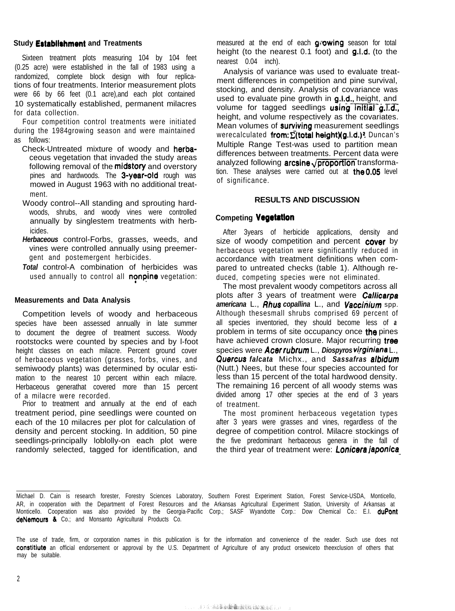#### **Study Establishment and Treatments**

Sixteen treatment plots measuring 104 by 104 feet (0.25 acre) were established in the fall of 1983 using a randomized, complete block design with four replications of four treatments. Interior measurement plots were 66 by 66 feet (0.1 acre),and each plot contained 10 systematically established, permanent milacres for data collection.

Four competition control treatments were initiated during the 1984growing season and were maintained as follows:

- Check-Untreated mixture of woody and herbaceous vegetation that invaded the study areas following removal of the **midstory** and overstory pines and hardwoods. The 3-year-old rough was mowed in August 1963 with no additional treatment.
- Woody control--All standing and sprouting hardwoods, shrubs, and woody vines were controlled annually by singlestem treatments with herbicides.
- *Herbaceous* control-Forbs, grasses, weeds, and vines were controlled annually using preemergent and postemergent herbicides.

*Total* control-A combination of herbicides was used annually to control all **nonpine** vegetation:

#### **Measurements and Data Analysis**

Competition levels of woody and herbaceous species have been assessed annually in late summer to document the degree of treatment success. Woody rootstocks were counted by species and by l-foot height classes on each milacre. Percent ground cover of herbaceous vegetation (grasses, forbs, vines, and semiwoody plants) was determined by ocular estimation to the nearest 10 percent within each milacre. Herbaceous generathat covered more than 15 percent of a milacre were recorded.

Prior to treatment and annually at the end of each treatment period, pine seedlings were counted on each of the 10 milacres per plot for calculation of density and percent stocking. In addition, 50 pine seedlings-principally loblolly-on each plot were randomly selected, tagged for identification, and measured at the end of each **growing** season for total height (to the nearest 0.1 foot) and g.1.d. (to the nearest 0.04 inch).

Analysis of variance was used to evaluate treatment differences in competition and pine survival, stocking, and density. Analysis of covariance was used to evaluate pine growth in g.l.d., height, and volume for tagged seedlings **using initial g.T.d.**, height, and volume respectively as the covariates. Mean volumes of **surviving** measurement seedlings werecalculated from:  $\sum$ (total height)(g.i.d.)? Duncan's Multiple Range Test-was used to partition mean differences between treatments. Percent data were analyzed following **arcsine** $\sqrt{$ **proportion** transformation. These analyses were carried out at  $the 0.05$  level of significance.

#### **RESULTS AND DISCUSSION**

### **Competing Vagetatlon**

After 3years of herbicide applications, density and size of woody competition and percent cover by herbaceous vegetation were significantly reduced in accordance with treatment definitions when compared to untreated checks (table 1). Although reduced, competing species were not eliminated.

The most prevalent woody competitors across all plots after 3 years of treatment were **Callicarpa** *americana* L., *Rhus copallina* L., and *Vacciriium* spp. Although thesesmall shrubs comprised 69 percent of all species inventoried, they should become less of *a* problem in terms of site occupancy once the pines have achieved crown closure. Major recurring tree species were *Acer rubrum* L., *Diospyros vlrginiana* L., *Quercus falcata* Michx., and *Sassafras albidum* (Nutt.) Nees, but these four species accounted for less than 15 percent of the total hardwood density. The remaining 16 percent of all woody stems was divided among 17 other species at the end of 3 years of treatment.

The most prominent herbaceous vegetation types after 3 years were grasses and vines, regardless of the degree of competition control. Milacre stockings of the five predominant herbaceous genera in the fall of the third year of treatment were: *Lonicera japonica-*

Michael D. Cain is research forester, Forestry Sciences Laboratory, Southern Forest Experiment Station, Forest Service-USDA, Monticello, AR, in cooperation with the Department of Forest Resources and the Arkansas Agricultural Experiment Station, University of Arkansas at Monticello. Cooperation was also provided by the Georgia-Pacific Corp.; SASF Wyandotte Corp.: Dow Chemical Co.: E.I. duPont deNemours & Co.; and Monsanto Agricultural Products Co.

The use of trade, firm, or corporation names in this publication is for the information and convenience of the reader. Such use does not constitiute an official endorsement or approval by the U.S. Department of Agriculture of any product orsewiceto theexclusion of others that may be suitable.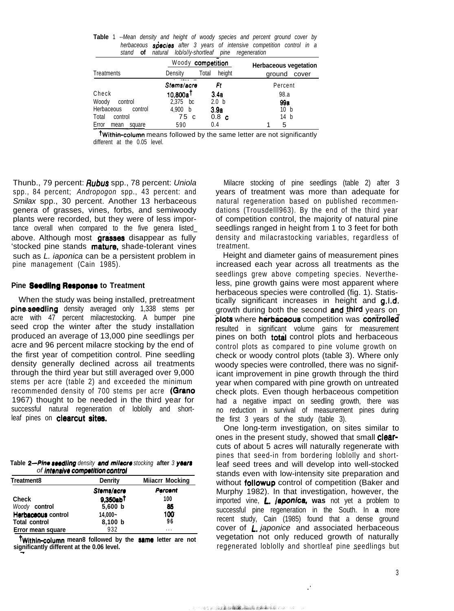| stand<br>OT             | naturai<br><i><b>100/0//V-Shortleaf</b></i> | pine             | regeneration                 |  |
|-------------------------|---------------------------------------------|------------------|------------------------------|--|
|                         | Woody competition                           |                  | <b>Herbaceous vegetation</b> |  |
| Treatments              | Density                                     | height<br>Total  | ground<br>cover              |  |
|                         | Stems/acre                                  | Ft               | Percent                      |  |
| Check                   | $10,800a^\dagger$                           | 3.4a             | 98.a                         |  |
| Woody<br>control        | 2.375<br>bc                                 | 2.0 <sub>b</sub> | 99a                          |  |
| Herbaceous<br>control   | 4,900<br>b                                  | 3.9a             | 10 b                         |  |
| Total<br>control        | 75 c                                        | 0.8 <sub>c</sub> | 14 b                         |  |
| Error<br>square<br>mean | 590                                         | 0.4              | 5                            |  |

**Table** 1 *--Mean density and height of woody species and percent ground cover by* herbaceous species after 3 years of intensive competition control in a *stand* **of** *natural lob/o//y-shortleaf pine regeneration*

**Twithin-column** means followed by the same letter are not significantly different at the 0.05 level.

Thunb., 79 percent: *Rubus* spp., 78 percent: *Uniola* spp., 84 percent; *Andropogon* spp., 43 percent: and *Smilax* spp., 30 percent. Another 13 herbaceous genera of grasses, vines, forbs, and semiwoody plants were recorded, but they were of less importance overall when compared to the five genera listed\_ above. Although most grasses disappear as fully 'stocked pine stands mature, shade-tolerant vines such as *L. iaponica* can be a persistent problem in pine management (Cain 1985).

#### **Pine Seedling Response to Treatment**

When the study was being installed, pretreatment pine seedling density averaged only 1,338 stems per acre with 47 percent milacrestocking. A bumper pine seed crop the winter after the study installation produced an average of 13,000 pine seedlings per acre and 96 percent milacre stocking by the end of the first year of competition control. Pine seedling density generally declined across ail treatments through the third year but still averaged over 9,000 stems per acre (table 2) and exceeded the minimum recommended density of 700 stems per acre (Grano 1967) thought to be needed in the third year for successful natural regeneration of loblolly and shortleaf pines on clearcut sites.

| Table 2—Pine seedling density and milacre stocking after 3 years |  |  |
|------------------------------------------------------------------|--|--|
| of intensive competition control                                 |  |  |

| Treatment8           | Denrity               | <b>Milacrr Mocking</b> |  |
|----------------------|-----------------------|------------------------|--|
|                      | Stems/acre            | Percent                |  |
| <b>Check</b>         | 9.350a b <sup>†</sup> | 100                    |  |
| Woody control        | 5,600 b               | 85                     |  |
| Herbaceous control   | 14,000~               | 100                    |  |
| <b>Total control</b> | 8,100 b               | 96                     |  |
| Error mean square    | 932                   | $\cdots$               |  |

**twithin-column mean8 followed by the same letter are not significantly different at the 0.06 level. -**

Milacre stocking of pine seedlings (table 2) after 3 years of treatment was more than adequate for natural regeneration based on published recommendations (Trousdelll963). By the end of the third year of competition control, the majority of natural pine seedlings ranged in height from 1 to 3 feet for both density and milacrastocking variables, regardless of treatment.

Height and diameter gains of measurement pines increased each year across all treatments as the seedlings grew above competing species. Nevertheless, pine growth gains were most apparent where herbaceous species were controlled (fig. 1). Statistically significant increases in height and g.1.d. growth during both the second and third years on plots where herbaceous competition was controlled resulted in significant volume gains for measurement pines on both total control plots and herbaceous control plots as compared to pine volume growth on check or woody control plots (table 3). Where only woody species were controlled, there was no significant improvement in pine growth through the third year when compared with pine growth on untreated check plots. Even though herbaceous competition had a negative impact on seedling growth, there was no reduction in survival of measurement pines during the first 3 years of the study (table 3).

One long-term investigation, on sites similar to ones in the present study, showed that small **clear**cuts of about 5 acres will naturally regenerate with pines that seed-in from bordering loblolly and shortleaf seed trees and will develop into well-stocked stands even with low-intensity site preparation and without **followup** control of competition (Baker and Murphy 1982). In that investigation, however, the imported vine, L. japonica, **was** not yet a problem to successful pine regeneration in the South. In **a** more recent study, Cain (1985) found that a dense ground cover of *L. japonice* and associated herbaceous vegetation not only reduced growth of naturally reg<u>e</u>nerated loblolly and shortleaf pine <u>s</u>eedlings but

: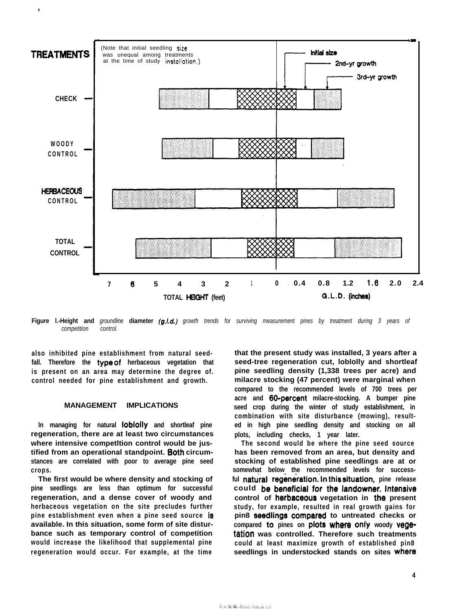

**Figure l.-Height and** *groundline* **diameter** *(g.1.d.) growth trends for surviving measurement pines by treatment during 3 years of competition control.*

**also inhibited pine establishment from natural seedfall. Therefore the typeof herbaceous vegetation that is present on an area may determine the degree of. control needed for pine establishment and growth.**

.

#### **MANAGEMENT IMPLICATIONS**

**In managing for natural lobfolly and shortleaf pine regeneration, there are at least two circumstances where intensive competltion control would be justified from an operational standpoint. Both circumstances are correlated with poor to average pine seed crops.**

**The first would be where density and stocking of pine seedlings are less than optimum for successful regeneration, and a dense cover of woody and herbaceous vegetation on the site precludes further pine establishment even when a pine seed source is available. In this situation, some form of site disturbance such as temporary control of competition would increase the likelihood that supplemental pine regeneration would occur. For example, at the time**

**that the present study was installed, 3 years after a seed-tree regeneration cut, loblolly and shortleaf pine seedling density (1,338 trees per acre) and milacre stocking (47 percent) were marginal when compared to the recommended levels of 700 trees per acre and 80-percent milacre-stocking. A bumper pine seed crop during the winter of study establishment, in combination with site disturbance (mowing), resulted in high pine seedling density and stocking on all plots, including checks, 1 year later.**

**The second would be where the pine seed source has been removed from an area, but density and stocking of established pine seedlings are at or somewhat below the recommended levels for success**ful **natural regeneration. In this situation**, pine release **could b8 beneficial fOf th8 landOWn8r. lnt8nSiV8 control of herbaceous vegetation in the present study, for example, resulted in real growth gains for pin8 Seedlings Compared to untreated checks or compared t0 pines on plots where Only woody vegetation was controlled. Therefore such treatments could at least maximize growth of established pin8 seedlings in understocked stands on sites Where**